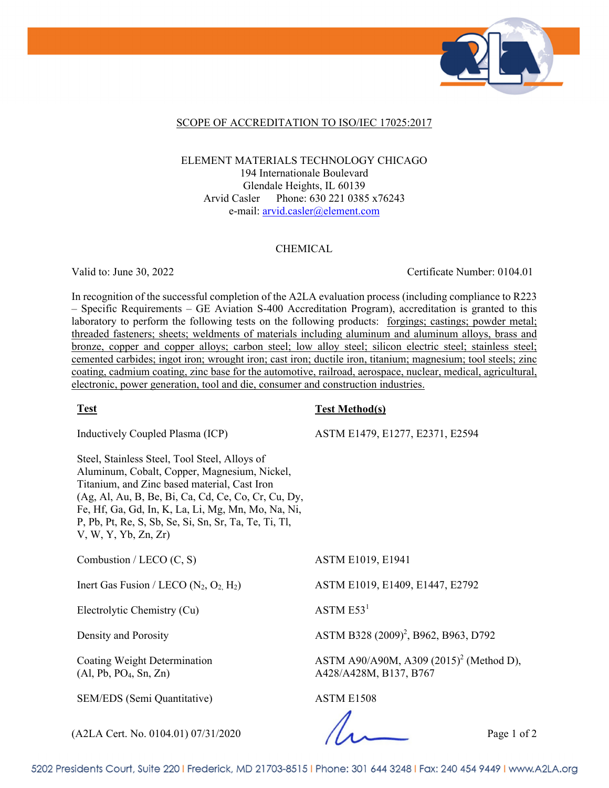

### SCOPE OF ACCREDITATION TO ISO/IEC 17025:2017

ELEMENT MATERIALS TECHNOLOGY CHICAGO 194 Internationale Boulevard Glendale Heights, IL 60139 Arvid Casler Phone: 630 221 0385 x76243 e-mail: arvid.casler@element.com

#### CHEMICAL

Valid to: June 30, 2022 Certificate Number: 0104.01

In recognition of the successful completion of the A2LA evaluation process (including compliance to R223 – Specific Requirements – GE Aviation S-400 Accreditation Program), accreditation is granted to this laboratory to perform the following tests on the following products: forgings; castings; powder metal; threaded fasteners; sheets; weldments of materials including aluminum and aluminum alloys, brass and bronze, copper and copper alloys; carbon steel; low alloy steel; silicon electric steel; stainless steel; cemented carbides; ingot iron; wrought iron; cast iron; ductile iron, titanium; magnesium; tool steels; zinc coating, cadmium coating, zinc base for the automotive, railroad, aerospace, nuclear, medical, agricultural, electronic, power generation, tool and die, consumer and construction industries.

#### **Test Test Method(s)**

Inductively Coupled Plasma (ICP)

Steel, Stainless Steel, Tool Steel, Alloys of Aluminum, Cobalt, Copper, Magnesium, Nickel, Titanium, and Zinc based material, Cast Iron (Ag, Al, Au, B, Be, Bi, Ca, Cd, Ce, Co, Cr, Cu, Dy, Fe, Hf, Ga, Gd, In, K, La, Li, Mg, Mn, Mo, Na, Ni, P, Pb, Pt, Re, S, Sb, Se, Si, Sn, Sr, Ta, Te, Ti, Tl, V, W, Y, Yb, Zn, Zr)

Combustion / LECO  $(C, S)$  ASTM E1019, E1941

Electrolytic Chemistry  $(Cu)$  ASTM E53<sup>1</sup>

Coating Weight Determination (Al, Pb, PO4, Sn, Zn)

SEM/EDS (Semi Quantitative) ASTM E1508

Inert Gas Fusion / LECO  $(N_2, O_2, H_2)$  ASTM E1019, E1409, E1447, E2792

ASTM E1479, E1277, E2371, E2594

Density and Porosity **ASTM B328** (2009)<sup>2</sup>, B962, B963, D792

ASTM A90/A90M, A309 (2015)<sup>2</sup> (Method D), A428/A428M, B137, B767

(A2LA Cert. No. 0104.01) 07/31/2020 Page 1 of 2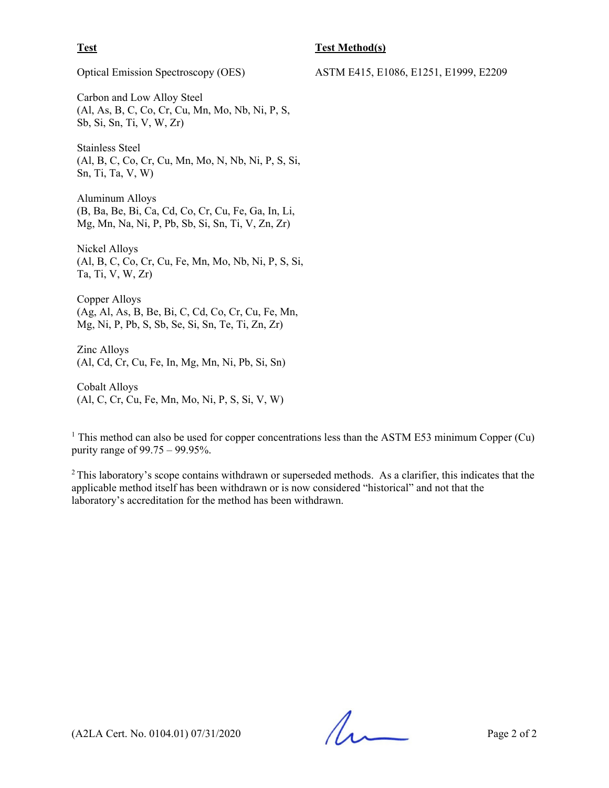#### **Test Test Method(s)**

Carbon and Low Alloy Steel (Al, As, B, C, Co, Cr, Cu, Mn, Mo, Nb, Ni, P, S, Sb, Si, Sn, Ti, V, W, Zr)

Stainless Steel (Al, B, C, Co, Cr, Cu, Mn, Mo, N, Nb, Ni, P, S, Si, Sn, Ti, Ta, V, W)

Aluminum Alloys (B, Ba, Be, Bi, Ca, Cd, Co, Cr, Cu, Fe, Ga, In, Li, Mg, Mn, Na, Ni, P, Pb, Sb, Si, Sn, Ti, V, Zn, Zr)

Nickel Alloys (Al, B, C, Co, Cr, Cu, Fe, Mn, Mo, Nb, Ni, P, S, Si, Ta, Ti, V, W, Zr)

Copper Alloys (Ag, Al, As, B, Be, Bi, C, Cd, Co, Cr, Cu, Fe, Mn, Mg, Ni, P, Pb, S, Sb, Se, Si, Sn, Te, Ti, Zn, Zr)

Zinc Alloys (Al, Cd, Cr, Cu, Fe, In, Mg, Mn, Ni, Pb, Si, Sn)

Cobalt Alloys (Al, C, Cr, Cu, Fe, Mn, Mo, Ni, P, S, Si, V, W)

<sup>1</sup> This method can also be used for copper concentrations less than the ASTM E53 minimum Copper (Cu) purity range of 99.75 – 99.95%.

 $2$  This laboratory's scope contains withdrawn or superseded methods. As a clarifier, this indicates that the applicable method itself has been withdrawn or is now considered "historical" and not that the laboratory's accreditation for the method has been withdrawn.

 $(A2LA$  Cert. No. 0104.01) 07/31/2020

Optical Emission Spectroscopy (OES) ASTM E415, E1086, E1251, E1999, E2209